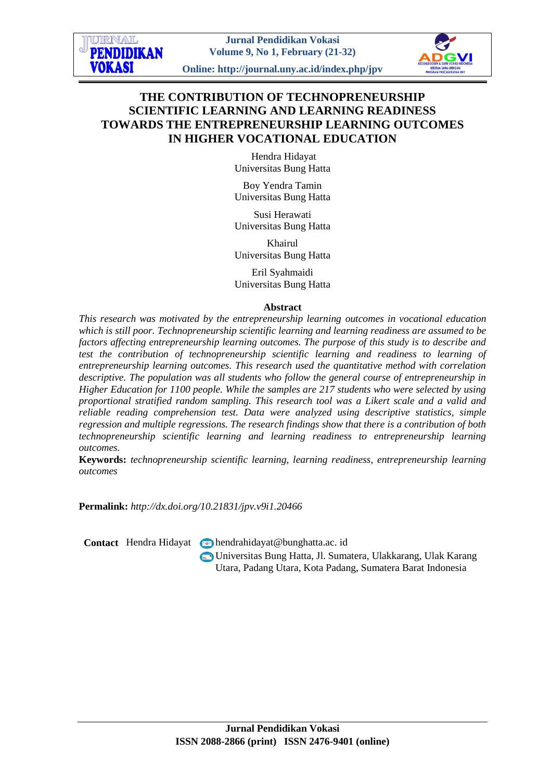**Jurnal Pendidikan Vokasi Volume 9, No 1, February (21-32)**

**Online: http://journal.uny.ac.id/index.php/jpv**



# **THE CONTRIBUTION OF TECHNOPRENEURSHIP SCIENTIFIC LEARNING AND LEARNING READINESS TOWARDS THE ENTREPRENEURSHIP LEARNING OUTCOMES IN HIGHER VOCATIONAL EDUCATION**

Hendra Hidayat Universitas Bung Hatta

Boy Yendra Tamin Universitas Bung Hatta

Susi Herawati Universitas Bung Hatta

Khairul Universitas Bung Hatta

Eril Syahmaidi Universitas Bung Hatta

#### **Abstract**

*This research was motivated by the entrepreneurship learning outcomes in vocational education which is still poor. Technopreneurship scientific learning and learning readiness are assumed to be factors affecting entrepreneurship learning outcomes. The purpose of this study is to describe and test the contribution of technopreneurship scientific learning and readiness to learning of entrepreneurship learning outcomes. This research used the quantitative method with correlation descriptive. The population was all students who follow the general course of entrepreneurship in Higher Education for 1100 people. While the samples are 217 students who were selected by using proportional stratified random sampling. This research tool was a Likert scale and a valid and reliable reading comprehension test. Data were analyzed using descriptive statistics, simple regression and multiple regressions. The research findings show that there is a contribution of both technopreneurship scientific learning and learning readiness to entrepreneurship learning outcomes.*

**Keywords:** *technopreneurship scientific learning, learning readiness, entrepreneurship learning outcomes*

**Permalink:** *http://dx.doi.org/10.21831/jpv.v9i1.20466*

**Contact** Hendra Hidayat **M** hendrahidayat @bunghatta.ac. id

URNAL **PENDIDIKAN** 

**VOKASI** 

Universitas Bung Hatta, Jl. Sumatera, Ulakkarang, Ulak Karang Utara, Padang Utara, Kota Padang, Sumatera Barat Indonesia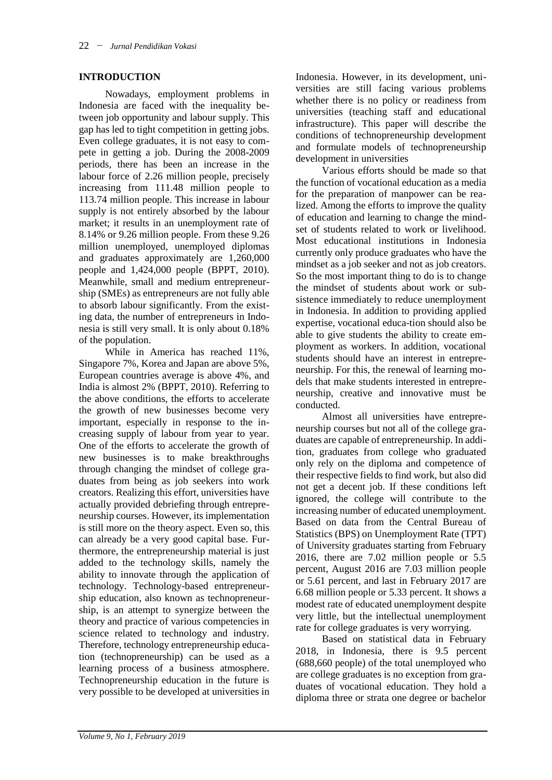#### **INTRODUCTION**

Nowadays, employment problems in Indonesia are faced with the inequality between job opportunity and labour supply. This gap has led to tight competition in getting jobs. Even college graduates, it is not easy to compete in getting a job. During the 2008-2009 periods, there has been an increase in the labour force of 2.26 million people, precisely increasing from 111.48 million people to 113.74 million people. This increase in labour supply is not entirely absorbed by the labour market; it results in an unemployment rate of 8.14% or 9.26 million people. From these 9.26 million unemployed, unemployed diplomas and graduates approximately are 1,260,000 people and 1,424,000 people (BPPT, 2010). Meanwhile, small and medium entrepreneurship (SMEs) as entrepreneurs are not fully able to absorb labour significantly. From the existing data, the number of entrepreneurs in Indonesia is still very small. It is only about 0.18% of the population.

While in America has reached 11%, Singapore 7%, Korea and Japan are above 5%, European countries average is above 4%, and India is almost 2% (BPPT, 2010). Referring to the above conditions, the efforts to accelerate the growth of new businesses become very important, especially in response to the increasing supply of labour from year to year. One of the efforts to accelerate the growth of new businesses is to make breakthroughs through changing the mindset of college graduates from being as job seekers into work creators. Realizing this effort, universities have actually provided debriefing through entrepreneurship courses. However, its implementation is still more on the theory aspect. Even so, this can already be a very good capital base. Furthermore, the entrepreneurship material is just added to the technology skills, namely the ability to innovate through the application of technology. Technology-based entrepreneurship education, also known as technopreneurship, is an attempt to synergize between the theory and practice of various competencies in science related to technology and industry. Therefore, technology entrepreneurship education (technopreneurship) can be used as a learning process of a business atmosphere. Technopreneurship education in the future is very possible to be developed at universities in

Indonesia. However, in its development, universities are still facing various problems whether there is no policy or readiness from universities (teaching staff and educational infrastructure). This paper will describe the conditions of technopreneurship development and formulate models of technopreneurship development in universities

Various efforts should be made so that the function of vocational education as a media for the preparation of manpower can be realized. Among the efforts to improve the quality of education and learning to change the mindset of students related to work or livelihood. Most educational institutions in Indonesia currently only produce graduates who have the mindset as a job seeker and not as job creators. So the most important thing to do is to change the mindset of students about work or subsistence immediately to reduce unemployment in Indonesia. In addition to providing applied expertise, vocational educa-tion should also be able to give students the ability to create employment as workers. In addition, vocational students should have an interest in entrepreneurship. For this, the renewal of learning models that make students interested in entrepreneurship, creative and innovative must be conducted.

Almost all universities have entrepreneurship courses but not all of the college graduates are capable of entrepreneurship. In addition, graduates from college who graduated only rely on the diploma and competence of their respective fields to find work, but also did not get a decent job. If these conditions left ignored, the college will contribute to the increasing number of educated unemployment. Based on data from the Central Bureau of Statistics (BPS) on Unemployment Rate (TPT) of University graduates starting from February 2016, there are 7.02 million people or 5.5 percent, August 2016 are 7.03 million people or 5.61 percent, and last in February 2017 are 6.68 million people or 5.33 percent. It shows a modest rate of educated unemployment despite very little, but the intellectual unemployment rate for college graduates is very worrying.

Based on statistical data in February 2018, in Indonesia, there is 9.5 percent (688,660 people) of the total unemployed who are college graduates is no exception from graduates of vocational education. They hold a diploma three or strata one degree or bachelor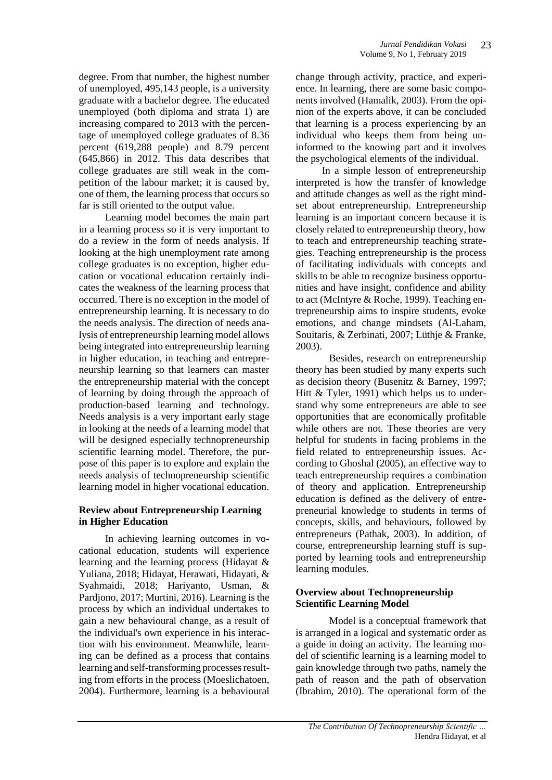degree. From that number, the highest number of unemployed, 495,143 people, is a university graduate with a bachelor degree. The educated unemployed (both diploma and strata 1) are increasing compared to 2013 with the percentage of unemployed college graduates of 8.36 percent (619,288 people) and 8.79 percent (645,866) in 2012. This data describes that college graduates are still weak in the competition of the labour market; it is caused by, one of them, the learning process that occurs so far is still oriented to the output value.

Learning model becomes the main part in a learning process so it is very important to do a review in the form of needs analysis. If looking at the high unemployment rate among college graduates is no exception, higher education or vocational education certainly indicates the weakness of the learning process that occurred. There is no exception in the model of entrepreneurship learning. It is necessary to do the needs analysis. The direction of needs analysis of entrepreneurship learning model allows being integrated into entrepreneurship learning in higher education, in teaching and entrepreneurship learning so that learners can master the entrepreneurship material with the concept of learning by doing through the approach of production-based learning and technology. Needs analysis is a very important early stage in looking at the needs of a learning model that will be designed especially technopreneurship scientific learning model. Therefore, the purpose of this paper is to explore and explain the needs analysis of technopreneurship scientific learning model in higher vocational education.

#### **Review about Entrepreneurship Learning in Higher Education**

In achieving learning outcomes in vocational education, students will experience learning and the learning process (Hidayat & Yuliana, 2018; Hidayat, Herawati, Hidayati, & Syahmaidi, 2018; Hariyanto, Usman, & Pardjono, 2017; Murtini, 2016). Learning is the process by which an individual undertakes to gain a new behavioural change, as a result of the individual's own experience in his interaction with his environment. Meanwhile, learning can be defined as a process that contains learning and self-transforming processes resulting from efforts in the process (Moeslichatoen, 2004). Furthermore, learning is a behavioural

change through activity, practice, and experience. In learning, there are some basic components involved (Hamalik, 2003). From the opinion of the experts above, it can be concluded that learning is a process experiencing by an individual who keeps them from being uninformed to the knowing part and it involves the psychological elements of the individual.

In a simple lesson of entrepreneurship interpreted is how the transfer of knowledge and attitude changes as well as the right mindset about entrepreneurship. Entrepreneurship learning is an important concern because it is closely related to entrepreneurship theory, how to teach and entrepreneurship teaching strategies. Teaching entrepreneurship is the process of facilitating individuals with concepts and skills to be able to recognize business opportunities and have insight, confidence and ability to act (McIntyre & Roche, 1999). Teaching entrepreneurship aims to inspire students, evoke emotions, and change mindsets (Al-Laham, Souitaris, & Zerbinati, 2007; Lüthje & Franke, 2003).

Besides, research on entrepreneurship theory has been studied by many experts such as decision theory (Busenitz & Barney, 1997; Hitt & Tyler, 1991) which helps us to understand why some entrepreneurs are able to see opportunities that are economically profitable while others are not. These theories are very helpful for students in facing problems in the field related to entrepreneurship issues. According to Ghoshal (2005), an effective way to teach entrepreneurship requires a combination of theory and application. Entrepreneurship education is defined as the delivery of entrepreneurial knowledge to students in terms of concepts, skills, and behaviours, followed by entrepreneurs (Pathak, 2003). In addition, of course, entrepreneurship learning stuff is supported by learning tools and entrepreneurship learning modules.

### **Overview about Technopreneurship Scientific Learning Model**

Model is a conceptual framework that is arranged in a logical and systematic order as a guide in doing an activity. The learning model of scientific learning is a learning model to gain knowledge through two paths, namely the path of reason and the path of observation (Ibrahim, 2010). The operational form of the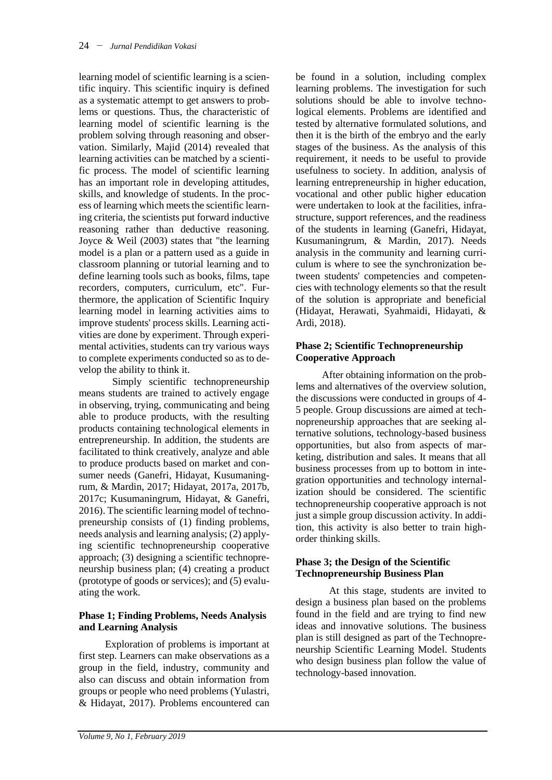learning model of scientific learning is a scientific inquiry. This scientific inquiry is defined as a systematic attempt to get answers to problems or questions. Thus, the characteristic of learning model of scientific learning is the problem solving through reasoning and observation. Similarly, Majid (2014) revealed that learning activities can be matched by a scientific process. The model of scientific learning has an important role in developing attitudes, skills, and knowledge of students. In the process of learning which meets the scientific learning criteria, the scientists put forward inductive reasoning rather than deductive reasoning. Joyce & Weil (2003) states that "the learning model is a plan or a pattern used as a guide in classroom planning or tutorial learning and to define learning tools such as books, films, tape recorders, computers, curriculum, etc". Furthermore, the application of Scientific Inquiry learning model in learning activities aims to improve students' process skills. Learning activities are done by experiment. Through experimental activities, students can try various ways to complete experiments conducted so as to develop the ability to think it.

Simply scientific technopreneurship means students are trained to actively engage in observing, trying, communicating and being able to produce products, with the resulting products containing technological elements in entrepreneurship. In addition, the students are facilitated to think creatively, analyze and able to produce products based on market and consumer needs (Ganefri, Hidayat, Kusumaningrum, & Mardin, 2017; Hidayat, 2017a, 2017b, 2017c; Kusumaningrum, Hidayat, & Ganefri, 2016). The scientific learning model of technopreneurship consists of (1) finding problems, needs analysis and learning analysis; (2) applying scientific technopreneurship cooperative approach; (3) designing a scientific technopreneurship business plan; (4) creating a product (prototype of goods or services); and (5) evaluating the work.

### **Phase 1; Finding Problems, Needs Analysis and Learning Analysis**

Exploration of problems is important at first step. Learners can make observations as a group in the field, industry, community and also can discuss and obtain information from groups or people who need problems (Yulastri, & Hidayat, 2017). Problems encountered can

be found in a solution, including complex learning problems. The investigation for such solutions should be able to involve technological elements. Problems are identified and tested by alternative formulated solutions, and then it is the birth of the embryo and the early stages of the business. As the analysis of this requirement, it needs to be useful to provide usefulness to society. In addition, analysis of learning entrepreneurship in higher education, vocational and other public higher education were undertaken to look at the facilities, infrastructure, support references, and the readiness of the students in learning (Ganefri, Hidayat, Kusumaningrum, & Mardin, 2017). Needs analysis in the community and learning curriculum is where to see the synchronization between students' competencies and competencies with technology elements so that the result of the solution is appropriate and beneficial (Hidayat, Herawati, Syahmaidi, Hidayati, & Ardi, 2018).

### **Phase 2; Scientific Technopreneurship Cooperative Approach**

After obtaining information on the problems and alternatives of the overview solution, the discussions were conducted in groups of 4- 5 people. Group discussions are aimed at technopreneurship approaches that are seeking alternative solutions, technology-based business opportunities, but also from aspects of marketing, distribution and sales. It means that all business processes from up to bottom in integration opportunities and technology internalization should be considered. The scientific technopreneurship cooperative approach is not just a simple group discussion activity. In addition, this activity is also better to train highorder thinking skills.

### **Phase 3; the Design of the Scientific Technopreneurship Business Plan**

At this stage, students are invited to design a business plan based on the problems found in the field and are trying to find new ideas and innovative solutions. The business plan is still designed as part of the Technopreneurship Scientific Learning Model. Students who design business plan follow the value of technology-based innovation.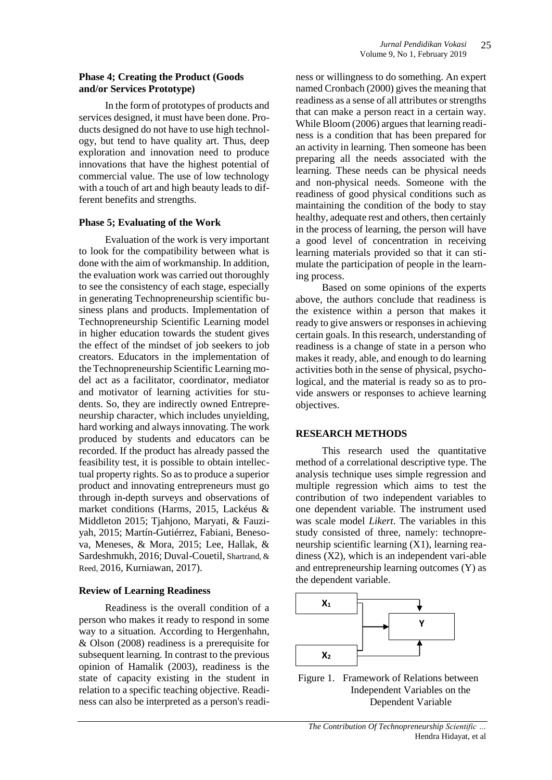#### **Phase 4; Creating the Product (Goods and/or Services Prototype)**

In the form of prototypes of products and services designed, it must have been done. Products designed do not have to use high technology, but tend to have quality art. Thus, deep exploration and innovation need to produce innovations that have the highest potential of commercial value. The use of low technology with a touch of art and high beauty leads to different benefits and strengths.

### **Phase 5; Evaluating of the Work**

Evaluation of the work is very important to look for the compatibility between what is done with the aim of workmanship. In addition, the evaluation work was carried out thoroughly to see the consistency of each stage, especially in generating Technopreneurship scientific business plans and products. Implementation of Technopreneurship Scientific Learning model in higher education towards the student gives the effect of the mindset of job seekers to job creators. Educators in the implementation of the Technopreneurship Scientific Learning model act as a facilitator, coordinator, mediator and motivator of learning activities for students. So, they are indirectly owned Entrepreneurship character, which includes unyielding, hard working and always innovating. The work produced by students and educators can be recorded. If the product has already passed the feasibility test, it is possible to obtain intellectual property rights. So as to produce a superior product and innovating entrepreneurs must go through in-depth surveys and observations of market conditions (Harms, 2015, Lackéus & Middleton 2015; Tjahjono, Maryati, & Fauziyah, 2015; Martín-Gutiérrez, Fabiani, Benesova, Meneses, & Mora, 2015; Lee, Hallak, & Sardeshmukh, 2016; Duval-Couetil, Shartrand, & Reed, 2016, Kurniawan, 2017).

### **Review of Learning Readiness**

Readiness is the overall condition of a person who makes it ready to respond in some way to a situation. According to Hergenhahn, & Olson (2008) readiness is a prerequisite for subsequent learning. In contrast to the previous opinion of Hamalik (2003), readiness is the state of capacity existing in the student in relation to a specific teaching objective. Readiness can also be interpreted as a person's readi-

ness or willingness to do something. An expert named Cronbach (2000) gives the meaning that readiness as a sense of all attributes or strengths that can make a person react in a certain way. While Bloom (2006) argues that learning readiness is a condition that has been prepared for an activity in learning. Then someone has been preparing all the needs associated with the learning. These needs can be physical needs and non-physical needs. Someone with the readiness of good physical conditions such as maintaining the condition of the body to stay healthy, adequate rest and others, then certainly in the process of learning, the person will have a good level of concentration in receiving learning materials provided so that it can stimulate the participation of people in the learning process.

Based on some opinions of the experts above, the authors conclude that readiness is the existence within a person that makes it ready to give answers or responses in achieving certain goals. In this research, understanding of readiness is a change of state in a person who makes it ready, able, and enough to do learning activities both in the sense of physical, psychological, and the material is ready so as to provide answers or responses to achieve learning objectives.

### **RESEARCH METHODS**

This research used the quantitative method of a correlational descriptive type. The analysis technique uses simple regression and multiple regression which aims to test the contribution of two independent variables to one dependent variable. The instrument used was scale model *Likert*. The variables in this study consisted of three, namely: technopreneurship scientific learning (X1), learning readiness (X2), which is an independent vari-able and entrepreneurship learning outcomes (Y) as the dependent variable.



Figure 1. Framework of Relations between Independent Variables on the Dependent Variable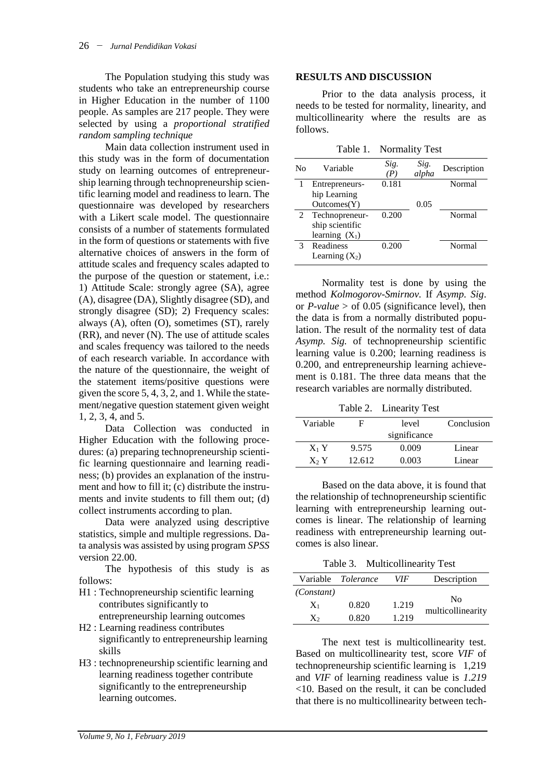The Population studying this study was students who take an entrepreneurship course in Higher Education in the number of 1100 people. As samples are 217 people. They were selected by using a *proportional stratified random sampling technique*

Main data collection instrument used in this study was in the form of documentation study on learning outcomes of entrepreneurship learning through technopreneurship scientific learning model and readiness to learn. The questionnaire was developed by researchers with a Likert scale model. The questionnaire consists of a number of statements formulated in the form of questions or statements with five alternative choices of answers in the form of attitude scales and frequency scales adapted to the purpose of the question or statement, i.e.: 1) Attitude Scale: strongly agree (SA), agree (A), disagree (DA), Slightly disagree (SD), and strongly disagree (SD); 2) Frequency scales: always (A), often (O), sometimes (ST), rarely (RR), and never (N). The use of attitude scales and scales frequency was tailored to the needs of each research variable. In accordance with the nature of the questionnaire, the weight of the statement items/positive questions were given the score 5, 4, 3, 2, and 1. While the statement/negative question statement given weight 1, 2, 3, 4, and 5.

Data Collection was conducted in Higher Education with the following procedures: (a) preparing technopreneurship scientific learning questionnaire and learning readiness; (b) provides an explanation of the instrument and how to fill it; (c) distribute the instruments and invite students to fill them out; (d) collect instruments according to plan.

Data were analyzed using descriptive statistics, simple and multiple regressions. Data analysis was assisted by using program *SPSS* version 22.00.

The hypothesis of this study is as follows:

- H1 : Technopreneurship scientific learning contributes significantly to entrepreneurship learning outcomes
- H2 : Learning readiness contributes significantly to entrepreneurship learning skills
- H3 : technopreneurship scientific learning and learning readiness together contribute significantly to the entrepreneurship learning outcomes.

#### **RESULTS AND DISCUSSION**

Prior to the data analysis process, it needs to be tested for normality, linearity, and multicollinearity where the results are as follows.

Table 1. Normality Test

| No | Variable         | Sig.<br>(P) | Sig.<br>alpha | Description |
|----|------------------|-------------|---------------|-------------|
|    | Entrepreneurs-   | 0.181       |               | Normal      |
|    | hip Learning     |             |               |             |
|    | Outcomes(Y)      |             | 0.05          |             |
| 2  | Technopreneur-   | 0.200       |               | Normal      |
|    | ship scientific  |             |               |             |
|    | learning $(X_1)$ |             |               |             |
| 3  | Readiness        | 0.200       |               | Normal      |
|    | Learning $(X_2)$ |             |               |             |
|    |                  |             |               |             |

Normality test is done by using the method *Kolmogorov-Smirnov.* If *Asymp. Sig*. or  $P$ -value  $>$  of 0.05 (significance level), then the data is from a normally distributed population. The result of the normality test of data *Asymp. Sig.* of technopreneurship scientific learning value is 0.200; learning readiness is 0.200, and entrepreneurship learning achievement is 0.181. The three data means that the research variables are normally distributed.

Table 2. Linearity Test

| ы      | level    |              |
|--------|----------|--------------|
|        |          |              |
| 9.575  | 0.009    | Linear       |
| 12.612 | 0.003    | Linear       |
|        | Variable | significance |

Based on the data above, it is found that the relationship of technopreneurship scientific learning with entrepreneurship learning outcomes is linear. The relationship of learning readiness with entrepreneurship learning outcomes is also linear.

Table 3. Multicollinearity Test

|            | Variable <i>Tolerance</i> | VIF   | Description       |
|------------|---------------------------|-------|-------------------|
| (Constant) |                           |       | N <sub>0</sub>    |
| $X_1$      | 0.820                     | 1.219 | multicollinearity |
| X2         | 0.820                     | 1.219 |                   |

The next test is multicollinearity test. Based on multicollinearity test, score *VIF* of technopreneurship scientific learning is 1,219 and *VIF* of learning readiness value is *1.219* <10. Based on the result, it can be concluded that there is no multicollinearity between tech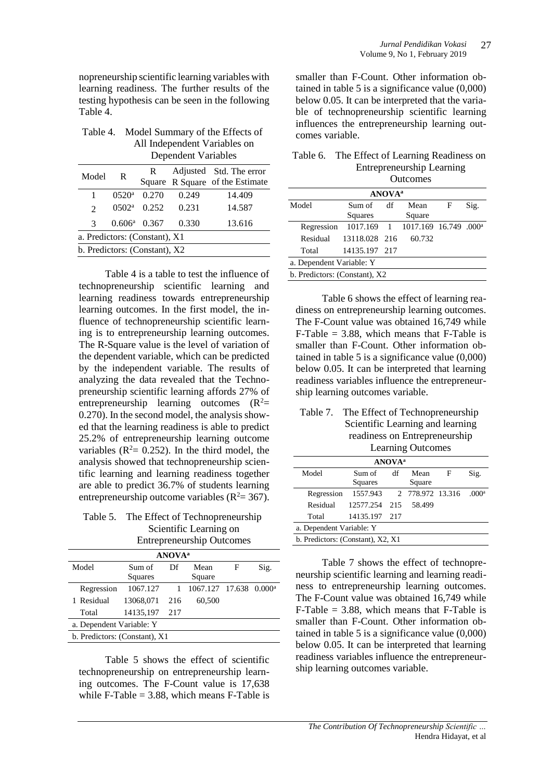nopreneurship scientific learning variables with learning readiness. The further results of the testing hypothesis can be seen in the following Table 4.

| Table 4.<br>Model Summary of the Effects of<br>All Independent Variables on<br><b>Dependent Variables</b> |                       |       |       |        |  |  |
|-----------------------------------------------------------------------------------------------------------|-----------------------|-------|-------|--------|--|--|
| Adjusted Std. The error<br>R<br>Model<br>R<br>Square R Square of the Estimate                             |                       |       |       |        |  |  |
| 1                                                                                                         | $0520^{\rm a}$        | 0.270 | 0.249 | 14.409 |  |  |
| $\mathfrak{D}$                                                                                            | $0502^{\rm a}$        | 0.252 | 0.231 | 14.587 |  |  |
| 3                                                                                                         | $0.606^{\rm a}$ 0.367 |       | 0.330 | 13.616 |  |  |
| a. Predictors: (Constant), X1                                                                             |                       |       |       |        |  |  |
| b. Predictors: (Constant), X2                                                                             |                       |       |       |        |  |  |

Table 4 is a table to test the influence of technopreneurship scientific learning and learning readiness towards entrepreneurship learning outcomes. In the first model, the influence of technopreneurship scientific learning is to entrepreneurship learning outcomes. The R-Square value is the level of variation of the dependent variable, which can be predicted by the independent variable. The results of analyzing the data revealed that the Technopreneurship scientific learning affords 27% of entrepreneurship learning outcomes  $(R^2=$ 0.270). In the second model, the analysis showed that the learning readiness is able to predict 25.2% of entrepreneurship learning outcome variables ( $R^2$ = 0.252). In the third model, the analysis showed that technopreneurship scientific learning and learning readiness together are able to predict 36.7% of students learning entrepreneurship outcome variables ( $R^2 = 367$ ).

Table 5. The Effect of Technopreneurship Scientific Learning on Entrepreneurship Outcomes

| <b>ANOVA</b> <sup>a</sup>     |           |     |                 |   |           |  |  |
|-------------------------------|-----------|-----|-----------------|---|-----------|--|--|
| Model                         | Sum of    | Df  | Mean            | F | Sig.      |  |  |
|                               | Squares   |     | Square          |   |           |  |  |
| Regression                    | 1067.127  |     | 1067.127 17.638 |   | $0.000^a$ |  |  |
| 1 Residual                    | 13068.071 | 216 | 60,500          |   |           |  |  |
| Total                         | 14135,197 | 217 |                 |   |           |  |  |
| a. Dependent Variable: Y      |           |     |                 |   |           |  |  |
| b. Predictors: (Constant), X1 |           |     |                 |   |           |  |  |
|                               |           |     |                 |   |           |  |  |

Table 5 shows the effect of scientific technopreneurship on entrepreneurship learning outcomes. The F-Count value is 17,638 while F-Table  $= 3.88$ , which means F-Table is

smaller than F-Count. Other information obtained in table 5 is a significance value (0,000) below 0.05. It can be interpreted that the variable of technopreneurship scientific learning influences the entrepreneurship learning outcomes variable.

| Table 6. The Effect of Learning Readiness on |
|----------------------------------------------|
| <b>Entrepreneurship Learning</b>             |
| $Qu$ + $Qu$                                  |

| <b>OUTCOTHES</b>              |                   |    |                                   |   |      |  |
|-------------------------------|-------------------|----|-----------------------------------|---|------|--|
| <b>ANOVA</b> <sup>a</sup>     |                   |    |                                   |   |      |  |
| Model                         | Sum of<br>Squares | df | Mean<br>Square                    | F | Sig. |  |
| Regression                    | 1017.169 1        |    | 1017.169 16.749 .000 <sup>a</sup> |   |      |  |
| Residual                      | 13118.028 216     |    | 60.732                            |   |      |  |
| Total                         | 14135.197 217     |    |                                   |   |      |  |
| a. Dependent Variable: Y      |                   |    |                                   |   |      |  |
| b. Predictors: (Constant), X2 |                   |    |                                   |   |      |  |

Table 6 shows the effect of learning readiness on entrepreneurship learning outcomes. The F-Count value was obtained 16,749 while  $F$ -Table = 3.88, which means that F-Table is smaller than F-Count. Other information obtained in table 5 is a significance value (0,000) below 0.05. It can be interpreted that learning readiness variables influence the entrepreneurship learning outcomes variable.

| Table 7. The Effect of Technopreneurship |
|------------------------------------------|
| Scientific Learning and learning         |
| readiness on Entrepreneurship            |
| <b>Learning Outcomes</b>                 |

| <b>ANOVA</b> <sup>a</sup>         |                           |     |                |   |                   |  |  |
|-----------------------------------|---------------------------|-----|----------------|---|-------------------|--|--|
| Model                             | Sum of<br>Squares         | df  | Mean<br>Square | F | Sig.              |  |  |
| Regression                        | 1557.943 2 778.972 13.316 |     |                |   | .000 <sup>a</sup> |  |  |
| Residual                          | 12577.254                 | 215 | 58.499         |   |                   |  |  |
| Total                             | 14135.197 217             |     |                |   |                   |  |  |
| a. Dependent Variable: Y          |                           |     |                |   |                   |  |  |
| b. Predictors: (Constant), X2, X1 |                           |     |                |   |                   |  |  |

Table 7 shows the effect of technopreneurship scientific learning and learning readiness to entrepreneurship learning outcomes. The F-Count value was obtained 16,749 while  $F$ -Table = 3.88, which means that  $F$ -Table is smaller than F-Count. Other information obtained in table 5 is a significance value  $(0,000)$ below 0.05. It can be interpreted that learning readiness variables influence the entrepreneurship learning outcomes variable.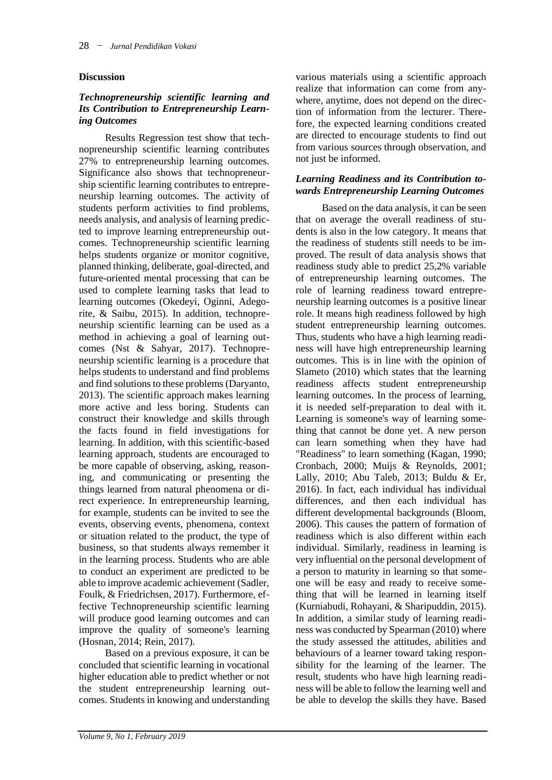#### **Discussion**

#### *Technopreneurship scientific learning and Its Contribution to Entrepreneurship Learning Outcomes*

Results Regression test show that technopreneurship scientific learning contributes 27% to entrepreneurship learning outcomes. Significance also shows that technopreneurship scientific learning contributes to entrepreneurship learning outcomes. The activity of students perform activities to find problems, needs analysis, and analysis of learning predicted to improve learning entrepreneurship outcomes. Technopreneurship scientific learning helps students organize or monitor cognitive, planned thinking, deliberate, goal-directed, and future-oriented mental processing that can be used to complete learning tasks that lead to learning outcomes (Okedeyi, Oginni, Adegorite, & Saibu, 2015). In addition, technopreneurship scientific learning can be used as a method in achieving a goal of learning outcomes (Nst & Sahyar, 2017). Technopreneurship scientific learning is a procedure that helps students to understand and find problems and find solutions to these problems (Daryanto, 2013). The scientific approach makes learning more active and less boring. Students can construct their knowledge and skills through the facts found in field investigations for learning. In addition, with this scientific-based learning approach, students are encouraged to be more capable of observing, asking, reasoning, and communicating or presenting the things learned from natural phenomena or direct experience. In entrepreneurship learning, for example, students can be invited to see the events, observing events, phenomena, context or situation related to the product, the type of business, so that students always remember it in the learning process. Students who are able to conduct an experiment are predicted to be able to improve academic achievement (Sadler, Foulk, & Friedrichsen, 2017). Furthermore, effective Technopreneurship scientific learning will produce good learning outcomes and can improve the quality of someone's learning (Hosnan, 2014; Rein, 2017).

Based on a previous exposure, it can be concluded that scientific learning in vocational higher education able to predict whether or not the student entrepreneurship learning outcomes. Students in knowing and understanding various materials using a scientific approach realize that information can come from anywhere, anytime, does not depend on the direction of information from the lecturer. Therefore, the expected learning conditions created are directed to encourage students to find out from various sources through observation, and not just be informed.

#### *Learning Readiness and its Contribution towards Entrepreneurship Learning Outcomes*

Based on the data analysis, it can be seen that on average the overall readiness of students is also in the low category. It means that the readiness of students still needs to be improved. The result of data analysis shows that readiness study able to predict 25,2% variable of entrepreneurship learning outcomes. The role of learning readiness toward entrepreneurship learning outcomes is a positive linear role. It means high readiness followed by high student entrepreneurship learning outcomes. Thus, students who have a high learning readiness will have high entrepreneurship learning outcomes. This is in line with the opinion of Slameto (2010) which states that the learning readiness affects student entrepreneurship learning outcomes. In the process of learning, it is needed self-preparation to deal with it. Learning is someone's way of learning something that cannot be done yet. A new person can learn something when they have had "Readiness" to learn something (Kagan, 1990; Cronbach, 2000; Muijs & Reynolds, 2001; Lally, 2010; Abu Taleb, 2013; Buldu & Er, 2016). In fact, each individual has individual differences, and then each individual has different developmental backgrounds (Bloom, 2006). This causes the pattern of formation of readiness which is also different within each individual. Similarly, readiness in learning is very influential on the personal development of a person to maturity in learning so that someone will be easy and ready to receive something that will be learned in learning itself (Kurniabudi, Rohayani, & Sharipuddin, 2015). In addition, a similar study of learning readiness was conducted by Spearman (2010) where the study assessed the attitudes, abilities and behaviours of a learner toward taking responsibility for the learning of the learner. The result, students who have high learning readiness will be able to follow the learning well and be able to develop the skills they have. Based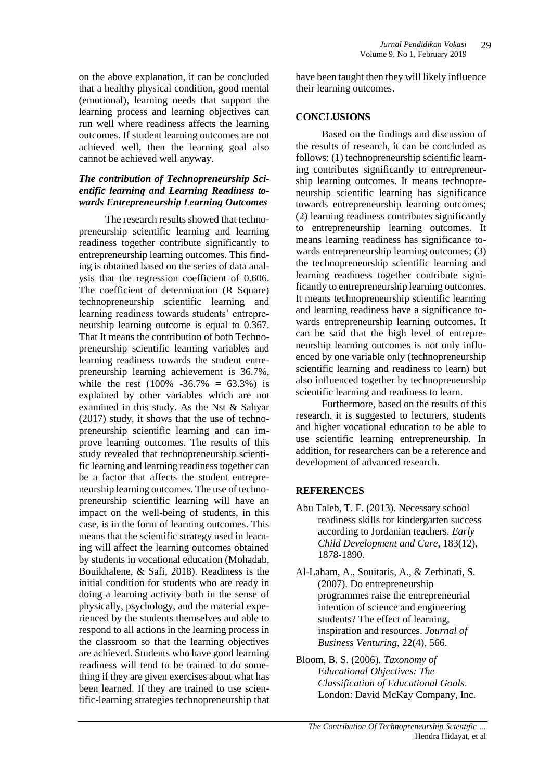on the above explanation, it can be concluded that a healthy physical condition, good mental (emotional), learning needs that support the learning process and learning objectives can run well where readiness affects the learning outcomes. If student learning outcomes are not achieved well, then the learning goal also cannot be achieved well anyway.

#### *The contribution of Technopreneurship Scientific learning and Learning Readiness towards Entrepreneurship Learning Outcomes*

The research results showed that technopreneurship scientific learning and learning readiness together contribute significantly to entrepreneurship learning outcomes. This finding is obtained based on the series of data analysis that the regression coefficient of 0.606. The coefficient of determination (R Square) technopreneurship scientific learning and learning readiness towards students' entrepreneurship learning outcome is equal to 0.367. That It means the contribution of both Technopreneurship scientific learning variables and learning readiness towards the student entrepreneurship learning achievement is 36.7%, while the rest  $(100\% -36.7\% = 63.3\%)$  is explained by other variables which are not examined in this study. As the Nst & Sahyar (2017) study, it shows that the use of technopreneurship scientific learning and can improve learning outcomes. The results of this study revealed that technopreneurship scientific learning and learning readiness together can be a factor that affects the student entrepreneurship learning outcomes. The use of technopreneurship scientific learning will have an impact on the well-being of students, in this case, is in the form of learning outcomes. This means that the scientific strategy used in learning will affect the learning outcomes obtained by students in vocational education (Mohadab, Bouikhalene, & Safi, 2018). Readiness is the initial condition for students who are ready in doing a learning activity both in the sense of physically, psychology, and the material experienced by the students themselves and able to respond to all actions in the learning process in the classroom so that the learning objectives are achieved. Students who have good learning readiness will tend to be trained to do something if they are given exercises about what has been learned. If they are trained to use scientific-learning strategies technopreneurship that have been taught then they will likely influence their learning outcomes.

## **CONCLUSIONS**

Based on the findings and discussion of the results of research, it can be concluded as follows: (1) technopreneurship scientific learning contributes significantly to entrepreneurship learning outcomes. It means technopreneurship scientific learning has significance towards entrepreneurship learning outcomes; (2) learning readiness contributes significantly to entrepreneurship learning outcomes. It means learning readiness has significance towards entrepreneurship learning outcomes; (3) the technopreneurship scientific learning and learning readiness together contribute significantly to entrepreneurship learning outcomes. It means technopreneurship scientific learning and learning readiness have a significance towards entrepreneurship learning outcomes. It can be said that the high level of entrepreneurship learning outcomes is not only influenced by one variable only (technopreneurship scientific learning and readiness to learn) but also influenced together by technopreneurship scientific learning and readiness to learn.

Furthermore, based on the results of this research, it is suggested to lecturers, students and higher vocational education to be able to use scientific learning entrepreneurship. In addition, for researchers can be a reference and development of advanced research.

# **REFERENCES**

- Abu Taleb, T. F. (2013). Necessary school readiness skills for kindergarten success according to Jordanian teachers. *Early Child Development and Care*, 183(12), 1878-1890.
- Al-Laham, A., Souitaris, A., & Zerbinati, S. (2007). Do entrepreneurship programmes raise the entrepreneurial intention of science and engineering students? The effect of learning, inspiration and resources. *Journal of Business Venturing*, 22(4), 566.
- Bloom, B. S. (2006). *Taxonomy of Educational Objectives: The Classification of Educational Goals*. London: David McKay Company, Inc.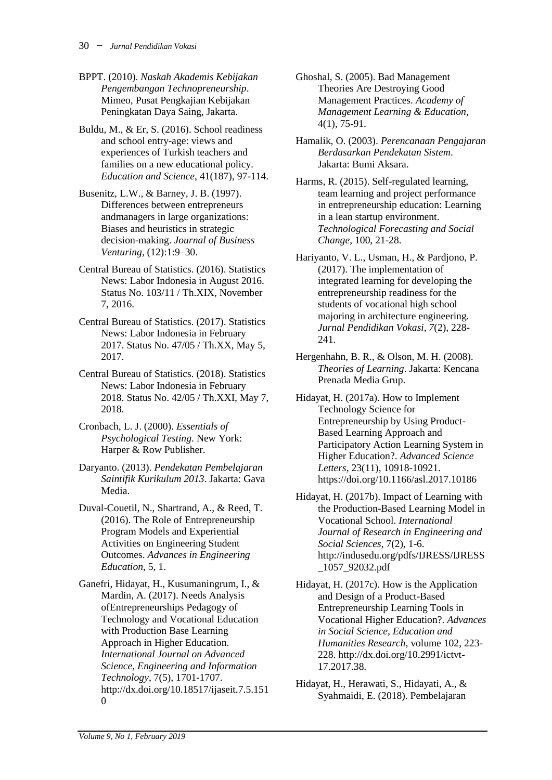- BPPT. (2010). *Naskah Akademis Kebijakan Pengembangan Technopreneurship*. Mimeo, Pusat Pengkajian Kebijakan Peningkatan Daya Saing, Jakarta.
- Buldu, M., & Er, S. (2016). School readiness and school entry-age: views and experiences of Turkish teachers and families on a new educational policy. *Education and Science*, 41(187), 97-114.
- Busenitz, L.W., & Barney, J. B. (1997). Differences between entrepreneurs andmanagers in large organizations: Biases and heuristics in strategic decision-making. *Journal of Business Venturing*, (12):1:9–30.
- Central Bureau of Statistics. (2016). Statistics News: Labor Indonesia in August 2016. Status No. 103/11 / Th.XIX, November 7, 2016.
- Central Bureau of Statistics. (2017). Statistics News: Labor Indonesia in February 2017. Status No. 47/05 / Th.XX, May 5, 2017.
- Central Bureau of Statistics. (2018). Statistics News: Labor Indonesia in February 2018. Status No. 42/05 / Th.XXI, May 7, 2018.
- Cronbach, L. J. (2000). *Essentials of Psychological Testing*. New York: Harper & Row Publisher.
- Daryanto. (2013). *Pendekatan Pembelajaran Saintifik Kurikulum 2013*. Jakarta: Gava Media.
- Duval-Couetil, N., Shartrand, A., & Reed, T. (2016). The Role of Entrepreneurship Program Models and Experiential Activities on Engineering Student Outcomes. *Advances in Engineering Education*, 5, 1.
- Ganefri, Hidayat, H., Kusumaningrum, I., & Mardin, A. (2017). Needs Analysis ofEntrepreneurships Pedagogy of Technology and Vocational Education with Production Base Learning Approach in Higher Education. *International Journal on Advanced Science, Engineering and Information Technology*, 7(5), 1701-1707. http://dx.doi.org/10.18517/ijaseit.7.5.151 0
- Ghoshal, S. (2005). Bad Management Theories Are Destroying Good Management Practices. *Academy of Management Learning & Education*, 4(1), 75-91.
- Hamalik, O. (2003). *Perencanaan Pengajaran Berdasarkan Pendekatan Sistem*. Jakarta: Bumi Aksara.
- Harms, R. (2015). Self-regulated learning, team learning and project performance in entrepreneurship education: Learning in a lean startup environment. *Technological Forecasting and Social Change*, 100, 21-28.
- Hariyanto, V. L., Usman, H., & Pardjono, P. (2017). The implementation of integrated learning for developing the entrepreneurship readiness for the students of vocational high school majoring in architecture engineering. *Jurnal Pendidikan Vokasi, 7*(2), 228- 241.
- Hergenhahn, B. R., & Olson, M. H. (2008). *Theories of Learning*. Jakarta: Kencana Prenada Media Grup.
- Hidayat, H. (2017a). How to Implement Technology Science for Entrepreneurship by Using Product-Based Learning Approach and Participatory Action Learning System in Higher Education?. *Advanced Science Letters*, 23(11), 10918-10921. https://doi.org/10.1166/asl.2017.10186
- Hidayat, H. (2017b). Impact of Learning with the Production-Based Learning Model in Vocational School. *International Journal of Research in Engineering and Social Sciences*, 7(2), 1-6. http://indusedu.org/pdfs/IJRESS/IJRESS \_1057\_92032.pdf
- Hidayat, H. (2017c). How is the Application and Design of a Product-Based Entrepreneurship Learning Tools in Vocational Higher Education?. *Advances in Social Science, Education and Humanities Research*, volume 102, 223- 228. http://dx.doi.org/10.2991/ictvt-17.2017.38.
- Hidayat, H., Herawati, S., Hidayati, A., & Syahmaidi, E. (2018). Pembelajaran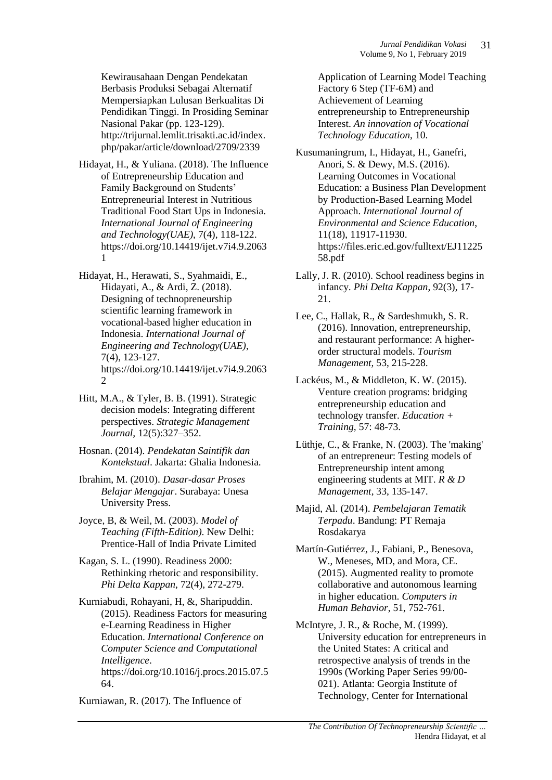Kewirausahaan Dengan Pendekatan Berbasis Produksi Sebagai Alternatif Mempersiapkan Lulusan Berkualitas Di Pendidikan Tinggi. In Prosiding Seminar Nasional Pakar (pp. 123-129). http://trijurnal.lemlit.trisakti.ac.id/index. php/pakar/article/download/2709/2339

- Hidayat, H., & Yuliana. (2018). The Influence of Entrepreneurship Education and Family Background on Students' Entrepreneurial Interest in Nutritious Traditional Food Start Ups in Indonesia. *International Journal of Engineering and Technology(UAE)*, 7(4), 118-122. https://doi.org/10.14419/ijet.v7i4.9.2063 1
- Hidayat, H., Herawati, S., Syahmaidi, E., Hidayati, A., & Ardi, Z. (2018). Designing of technopreneurship scientific learning framework in vocational-based higher education in Indonesia. *International Journal of Engineering and Technology(UAE)*, 7(4), 123-127. https://doi.org/10.14419/ijet.v7i4.9.2063 2
- Hitt, M.A., & Tyler, B. B. (1991). Strategic decision models: Integrating different perspectives. *Strategic Management Journal,* 12(5):327–352.
- Hosnan. (2014). *Pendekatan Saintifik dan Kontekstual*. Jakarta: Ghalia Indonesia.
- Ibrahim, M. (2010). *Dasar-dasar Proses Belajar Mengajar*. Surabaya: Unesa University Press.
- Joyce, B, & Weil, M. (2003). *Model of Teaching (Fifth-Edition)*. New Delhi: Prentice-Hall of India Private Limited
- Kagan, S. L. (1990). Readiness 2000: Rethinking rhetoric and responsibility. *Phi Delta Kappan*, 72(4), 272-279.
- Kurniabudi, Rohayani, H, &, Sharipuddin. (2015). Readiness Factors for measuring e-Learning Readiness in Higher Education. *International Conference on Computer Science and Computational Intelligence*. https://doi.org/10.1016/j.procs.2015.07.5 64.

Kurniawan, R. (2017). The Influence of

Application of Learning Model Teaching Factory 6 Step (TF-6M) and Achievement of Learning entrepreneurship to Entrepreneurship Interest. *An innovation of Vocational Technology Education*, 10.

Kusumaningrum, I., Hidayat, H., Ganefri, Anori, S. & Dewy, M.S. (2016). Learning Outcomes in Vocational Education: a Business Plan Development by Production-Based Learning Model Approach. *International Journal of Environmental and Science Education*, 11(18), 11917-11930. https://files.eric.ed.gov/fulltext/EJ11225 58.pdf

- Lally, J. R. (2010). School readiness begins in infancy. *Phi Delta Kappan*, 92(3), 17- 21.
- Lee, C., Hallak, R., & Sardeshmukh, S. R. (2016). Innovation, entrepreneurship, and restaurant performance: A higherorder structural models. *Tourism Management,* 53, 215-228.
- Lackéus, M., & Middleton, K. W. (2015). Venture creation programs: bridging entrepreneurship education and technology transfer. *Education + Training,* 57: 48-73.
- Lüthje, C., & Franke, N. (2003). The 'making' of an entrepreneur: Testing models of Entrepreneurship intent among engineering students at MIT. *R & D Management*, 33, 135-147.
- Majid, Al. (2014). *Pembelajaran Tematik Terpadu*. Bandung: PT Remaja Rosdakarya
- Martín-Gutiérrez, J., Fabiani, P., Benesova, W., Meneses, MD, and Mora, CE. (2015). Augmented reality to promote collaborative and autonomous learning in higher education. *Computers in Human Behavior*, 51, 752-761.
- McIntyre, J. R., & Roche, M. (1999). University education for entrepreneurs in the United States: A critical and retrospective analysis of trends in the 1990s (Working Paper Series 99/00- 021). Atlanta: Georgia Institute of Technology, Center for International